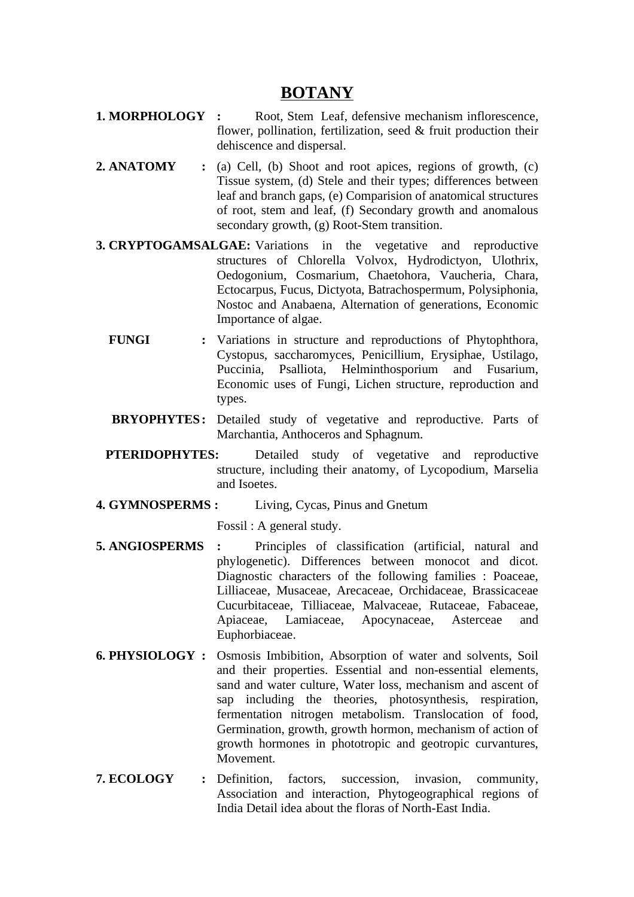## **BOTANY**

- **1. MORPHOLOGY :** Root, Stem Leaf, defensive mechanism inflorescence, flower, pollination, fertilization, seed & fruit production their dehiscence and dispersal.
- **2. ANATOMY :** (a) Cell, (b) Shoot and root apices, regions of growth, (c) Tissue system, (d) Stele and their types; differences between leaf and branch gaps, (e) Comparision of anatomical structures of root, stem and leaf, (f) Secondary growth and anomalous secondary growth, (g) Root-Stem transition.
- **3. CRYPTOGAMSALGAE:** Variations in the vegetative and reproductive structures of Chlorella Volvox, Hydrodictyon, Ulothrix, Oedogonium, Cosmarium, Chaetohora, Vaucheria, Chara, Ectocarpus, Fucus, Dictyota, Batrachospermum, Polysiphonia, Nostoc and Anabaena, Alternation of generations, Economic Importance of algae.
	- **FUNGI :** Variations in structure and reproductions of Phytophthora, Cystopus, saccharomyces, Penicillium, Erysiphae, Ustilago, Puccinia, Psalliota, Helminthosporium and Fusarium, Economic uses of Fungi, Lichen structure, reproduction and types.
	- **BRYOPHYTES:** Detailed study of vegetative and reproductive. Parts of Marchantia, Anthoceros and Sphagnum.
	- **PTERIDOPHYTES:** Detailed study of vegetative and reproductive structure, including their anatomy, of Lycopodium, Marselia and Isoetes.
- **4. GYMNOSPERMS :** Living, Cycas, Pinus and Gnetum

Fossil : A general study.

- **5. ANGIOSPERMS :** Principles of classification (artificial, natural and phylogenetic). Differences between monocot and dicot. Diagnostic characters of the following families : Poaceae, Lilliaceae, Musaceae, Arecaceae, Orchidaceae, Brassicaceae Cucurbitaceae, Tilliaceae, Malvaceae, Rutaceae, Fabaceae, Apiaceae, Lamiaceae, Apocynaceae, Asterceae and Euphorbiaceae.
- **6. PHYSIOLOGY :** Osmosis Imbibition, Absorption of water and solvents, Soil and their properties. Essential and non-essential elements, sand and water culture, Water loss, mechanism and ascent of sap including the theories, photosynthesis, respiration, fermentation nitrogen metabolism. Translocation of food, Germination, growth, growth hormon, mechanism of action of growth hormones in phototropic and geotropic curvantures, Movement.
- **7. ECOLOGY :** Definition, factors, succession, invasion, community, Association and interaction, Phytogeographical regions of India Detail idea about the floras of North-East India.